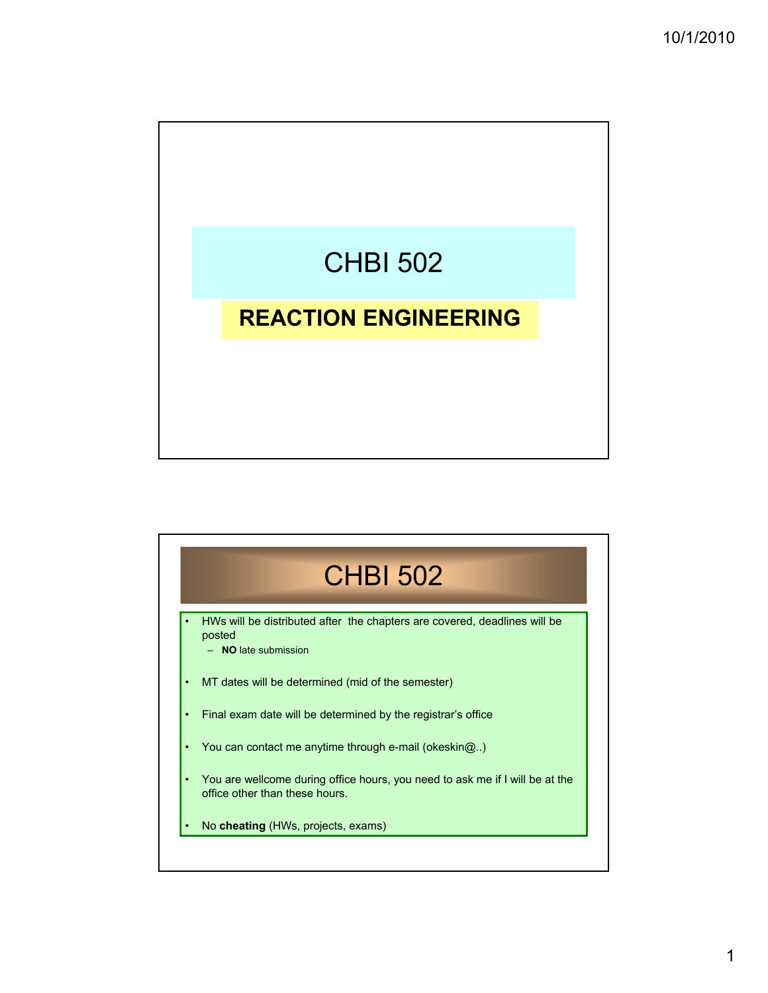

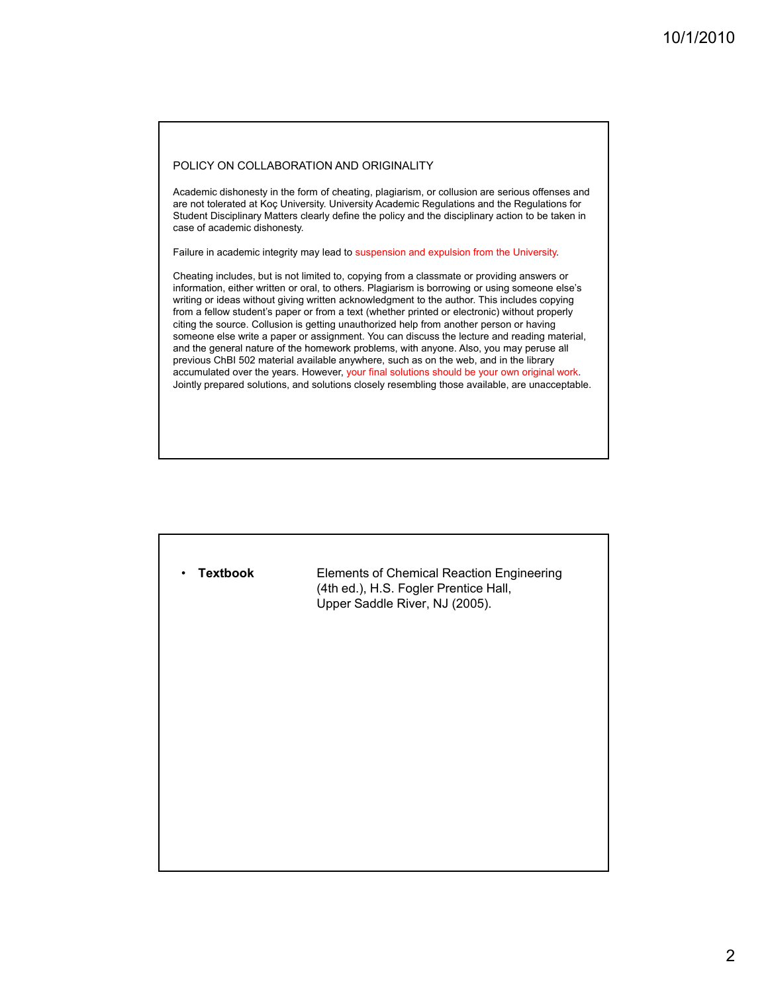#### POLICY ON COLLABORATION AND ORIGINALITY

Academic dishonesty in the form of cheating, plagiarism, or collusion are serious offenses and are not tolerated at Koç University. University Academic Regulations and the Regulations for Student Disciplinary Matters clearly define the policy and the disciplinary action to be taken in case of academic dishonesty.

Failure in academic integrity may lead to suspension and expulsion from the University.

Cheating includes, but is not limited to, copying from a classmate or providing answers or information, either written or oral, to others. Plagiarism is borrowing or using someone else's writing or ideas without giving written acknowledgment to the author. This includes copying from a fellow student's paper or from a text (whether printed or electronic) without properly citing the source. Collusion is getting unauthorized help from another person or having someone else write a paper or assignment. You can discuss the lecture and reading material, and the general nature of the homework problems, with anyone. Also, you may peruse all previous ChBI 502 material available anywhere, such as on the web, and in the library accumulated over the years. However, your final solutions should be your own original work. Jointly prepared solutions, and solutions closely resembling those available, are unacceptable.

| <b>Textbook</b><br>$\bullet$ | Elements of Chemical Reaction Engineering<br>(4th ed.), H.S. Fogler Prentice Hall,<br>Upper Saddle River, NJ (2005). |
|------------------------------|----------------------------------------------------------------------------------------------------------------------|
|                              |                                                                                                                      |
|                              |                                                                                                                      |
|                              |                                                                                                                      |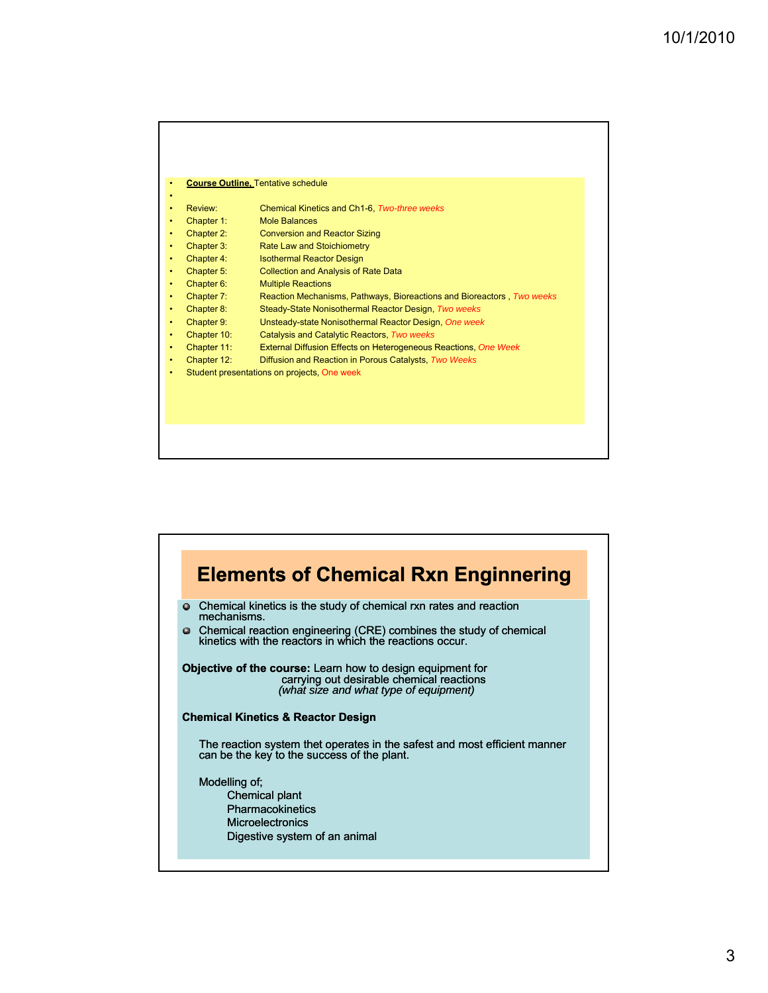|   |             | <b>Course Outline, Tentative schedule</b>                              |
|---|-------------|------------------------------------------------------------------------|
|   |             |                                                                        |
|   | Review:     | Chemical Kinetics and Ch1-6. Two-three weeks                           |
|   | Chapter 1:  | <b>Mole Balances</b>                                                   |
|   | Chapter 2:  | <b>Conversion and Reactor Sizing</b>                                   |
|   | Chapter 3:  | Rate Law and Stoichiometry                                             |
|   | Chapter 4:  | <b>Isothermal Reactor Design</b>                                       |
|   | Chapter 5:  | <b>Collection and Analysis of Rate Data</b>                            |
|   | Chapter 6:  | <b>Multiple Reactions</b>                                              |
|   | Chapter 7:  | Reaction Mechanisms, Pathways, Bioreactions and Bioreactors, Two weeks |
|   | Chapter 8:  | Steady-State Nonisothermal Reactor Design, Two weeks                   |
|   | Chapter 9:  | Unsteady-state Nonisothermal Reactor Design, One week                  |
|   | Chapter 10: | Catalysis and Catalytic Reactors, Two weeks                            |
| ٠ | Chapter 11: | External Diffusion Effects on Heterogeneous Reactions, One Week        |
| ٠ | Chapter 12: | Diffusion and Reaction in Porous Catalysts, Two Weeks                  |
| ٠ |             | Student presentations on projects, One week                            |
|   |             |                                                                        |
|   |             |                                                                        |
|   |             |                                                                        |

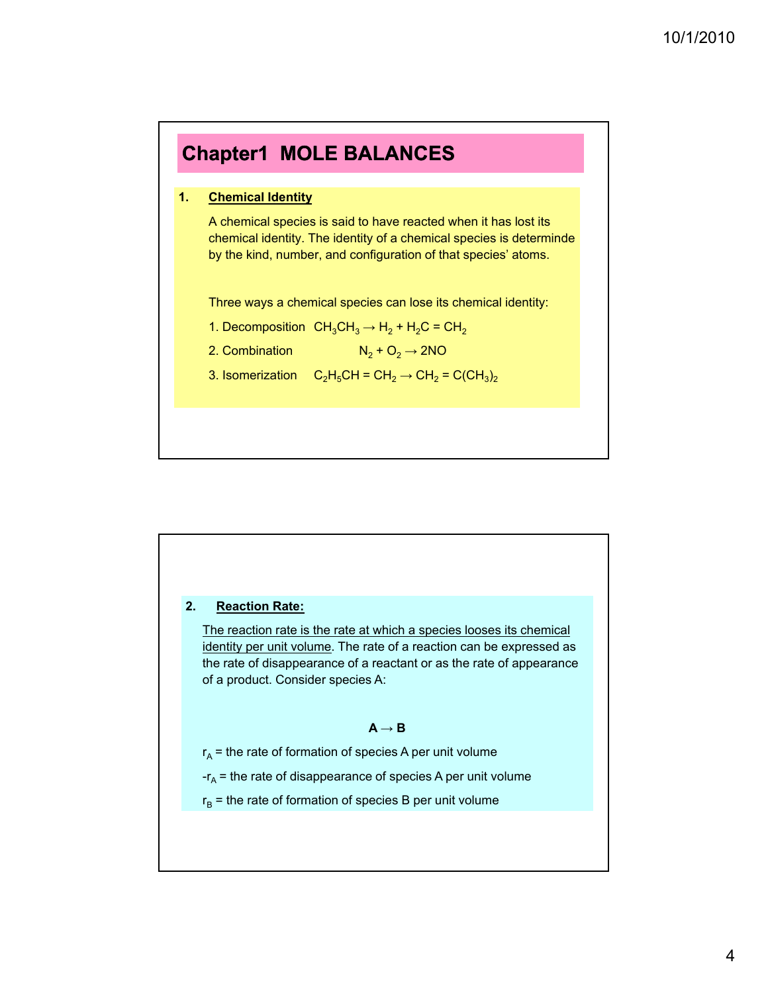



The reaction rate is the rate at which a species looses its chemical identity per unit volume. The rate of a reaction can be expressed as the rate of disappearance of a reactant or as the rate of appearance of a product. Consider species A:

### $A \rightarrow B$

 $r_A$  = the rate of formation of species A per unit volume

 $-r_A$  = the rate of disappearance of species A per unit volume

 $r_B$  = the rate of formation of species B per unit volume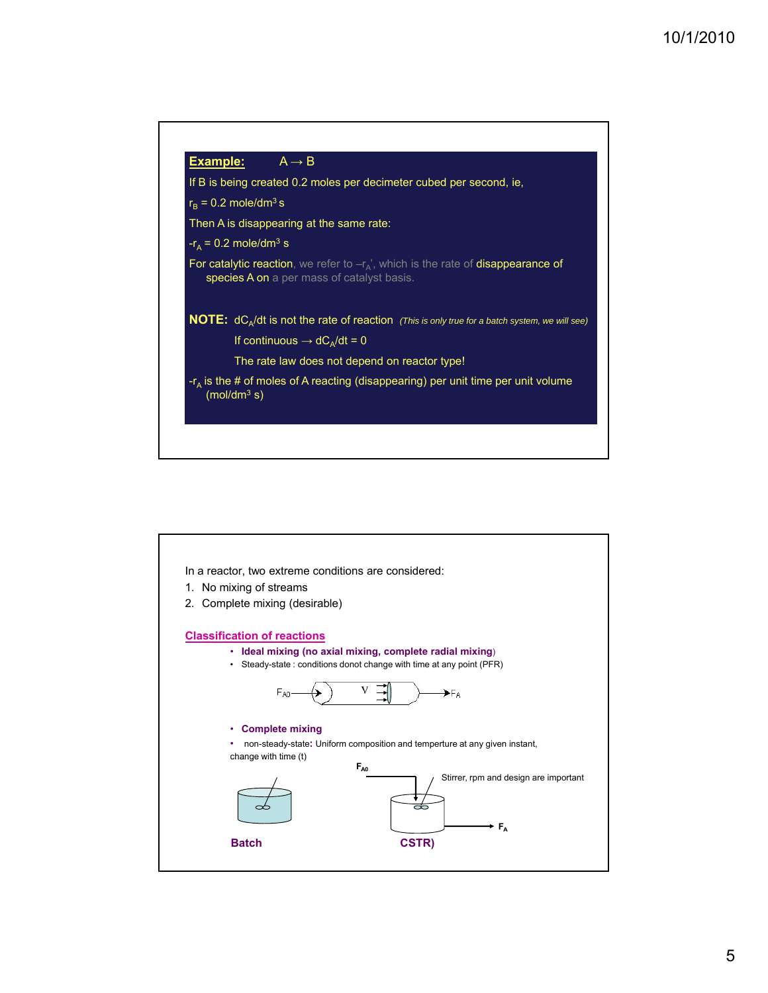

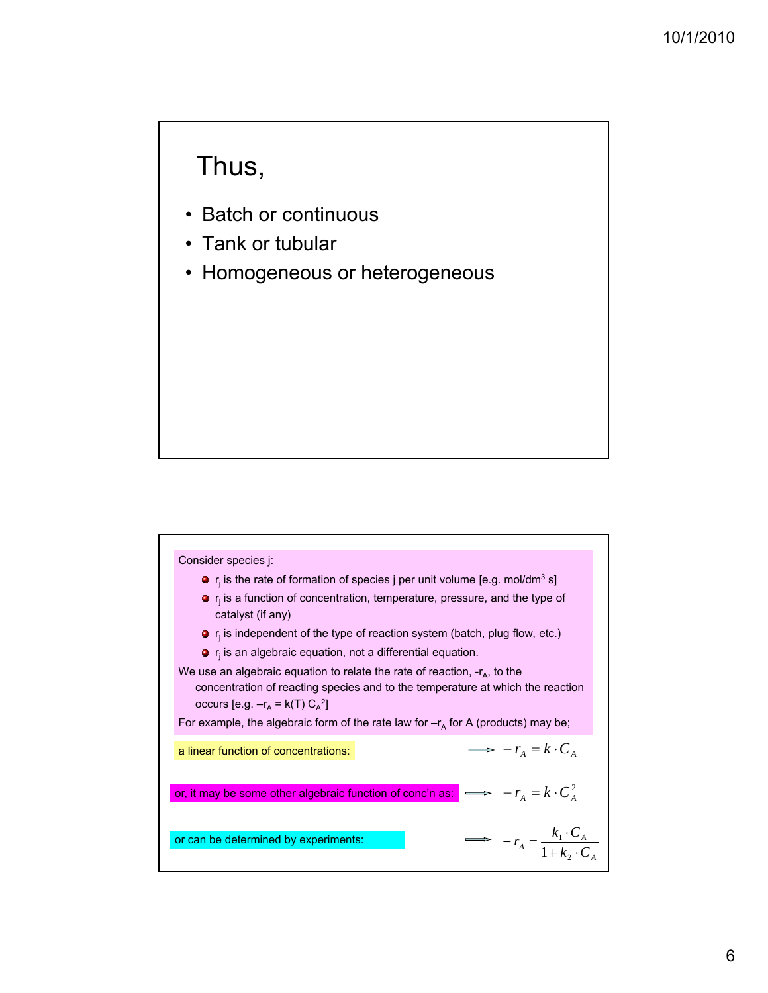# Thus,

- Batch or continuous
- Tank or tubular
- Homogeneous or heterogeneous

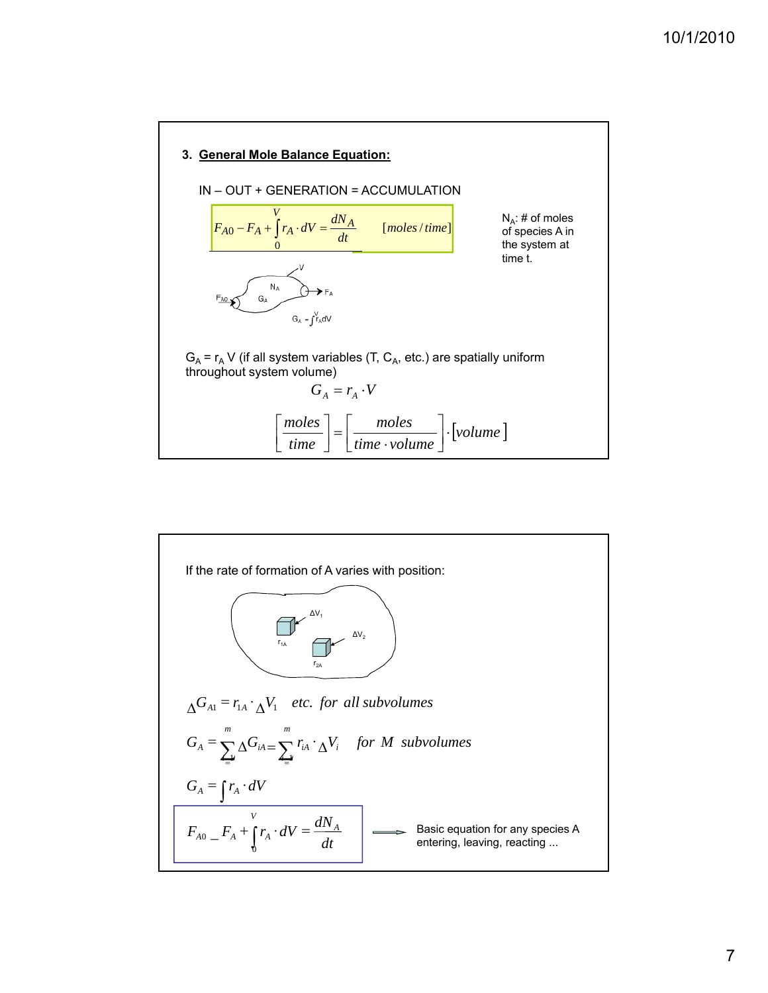

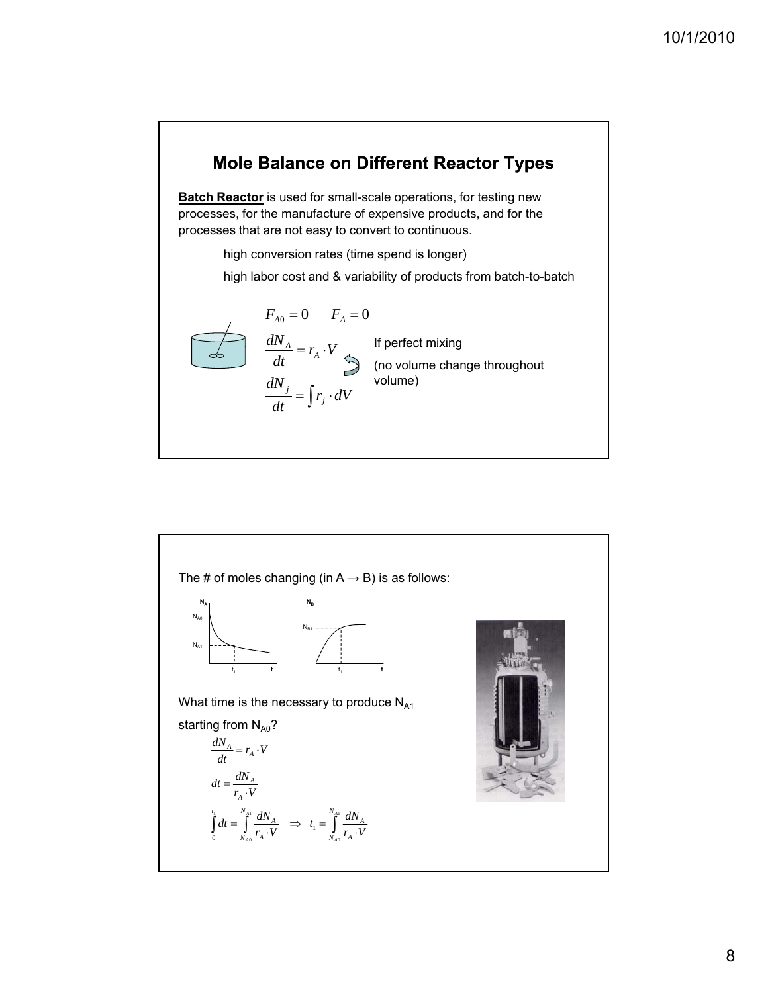## **Mole Balance on Different Reactor Types**

**Batch Reactor** is used for small-scale operations, for testing new processes, for the manufacture of expensive products, and for the processes that are not easy to convert to continuous.

high conversion rates (time spend is longer)

high labor cost and & variability of products from batch-to-batch

$$
F_{A0} = 0 \t F_A = 0
$$
  
\n
$$
\frac{dN_A}{dt} = r_A \cdot V \qquad \text{If perfect mixing}
$$
  
\n(no volume change throughout volume) (no volume)

 $\bigcap$ 

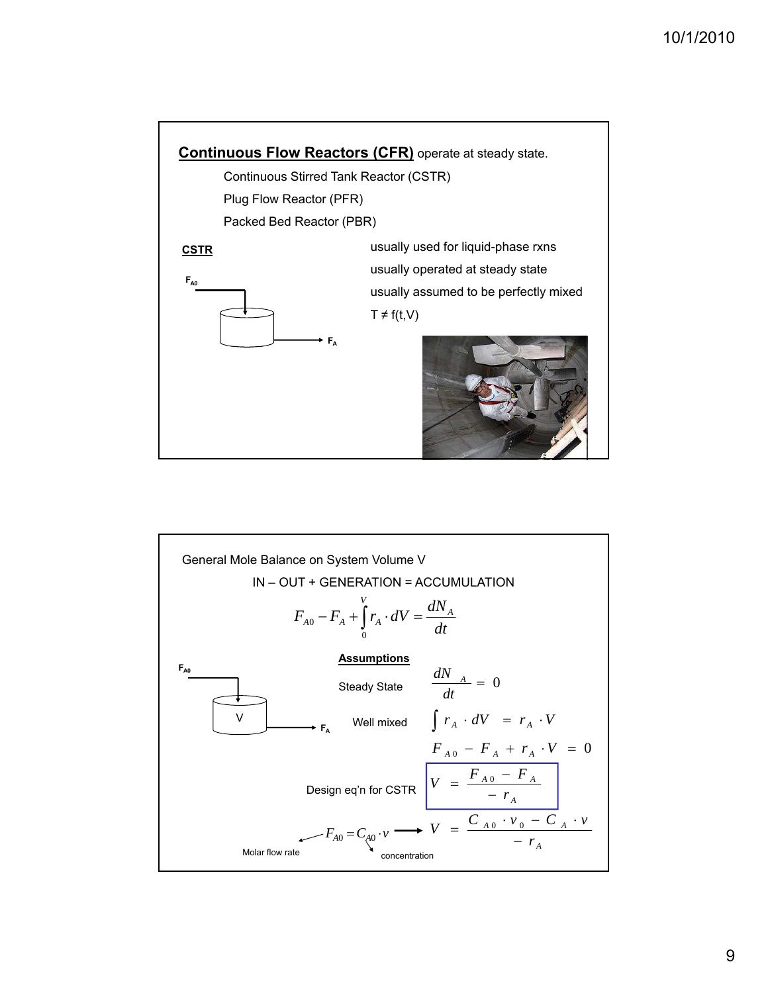

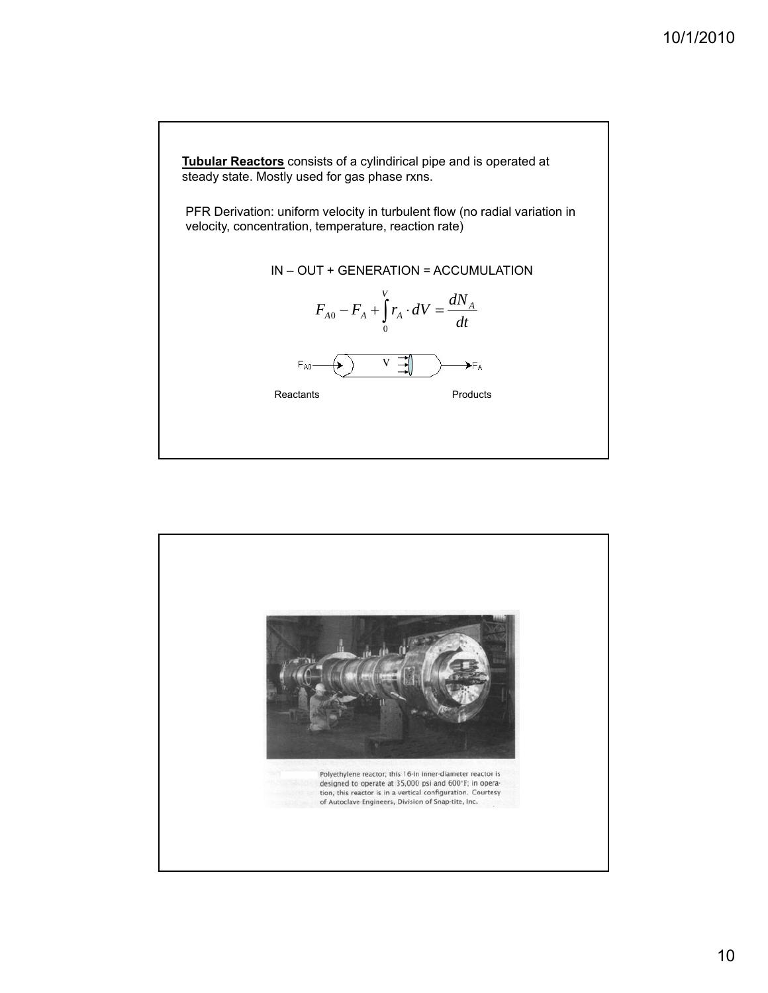

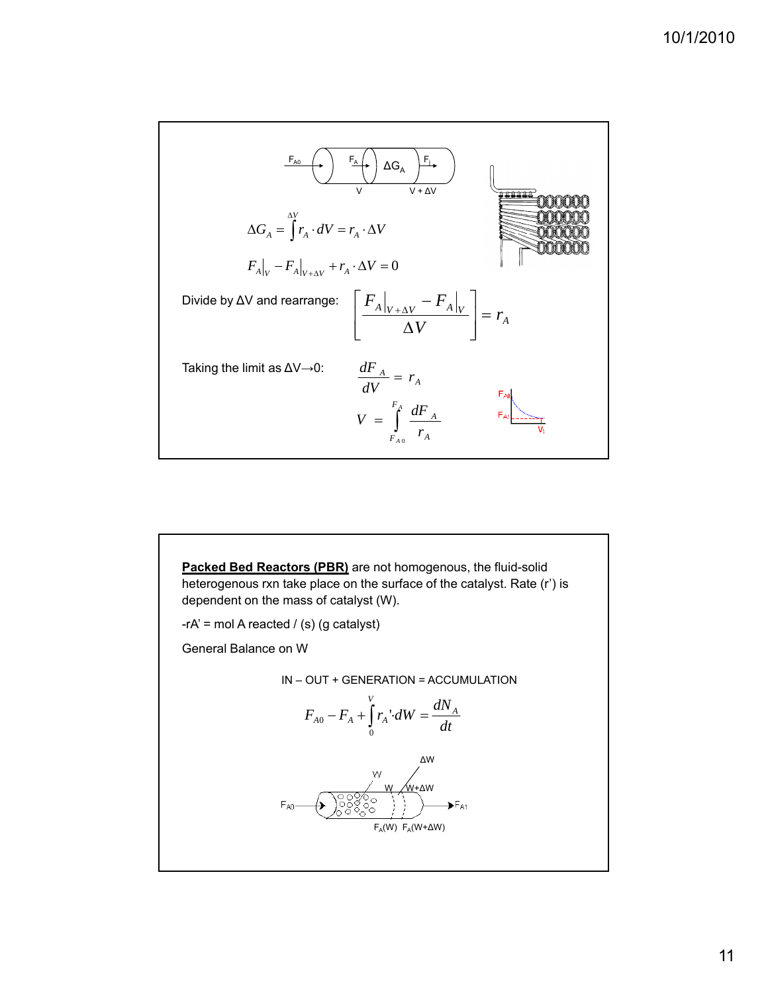

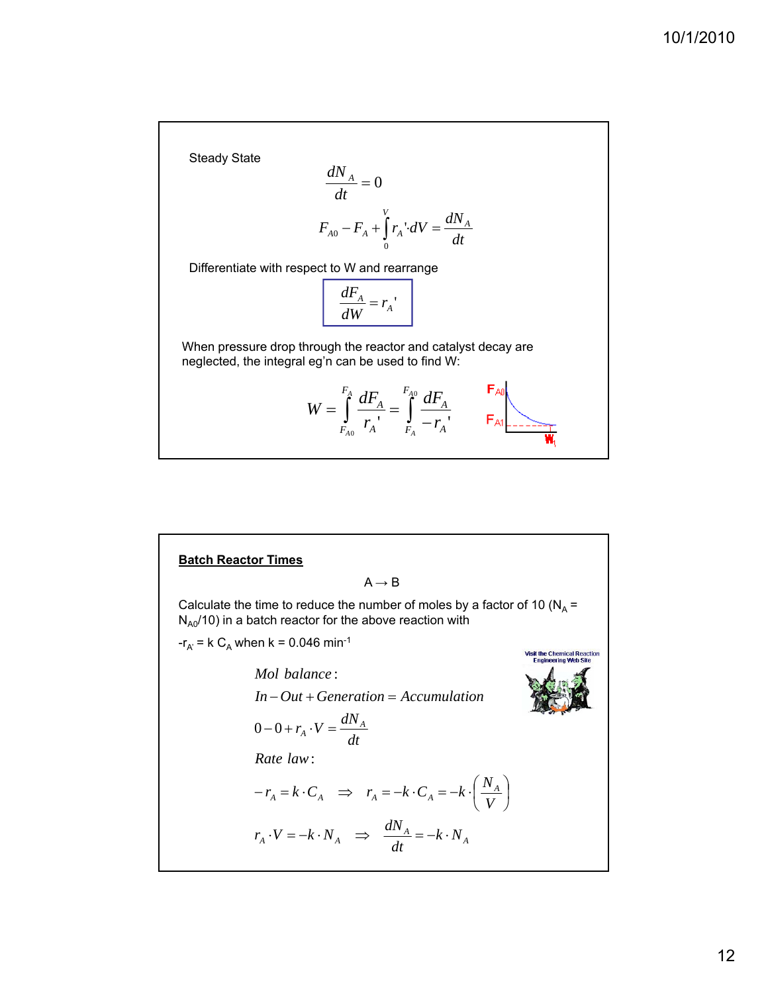Steady State

$$
\frac{dN_A}{dt} = 0
$$
  

$$
F_{A0} - F_A + \int_0^V r_A \cdot dV = \frac{dN_A}{dt}
$$

Differentiate with respect to W and rearrange

$$
\frac{dF_A}{dW} = r_A
$$

When pressure drop through the reactor and catalyst decay are neglected, the integral eg'n can be used to find W:

$$
W = \int_{F_{A0}}^{F_A} \frac{dF_A}{r_A} = \int_{F_A}^{F_{A0}} \frac{dF_A}{-r_A}, \qquad F_{A1} = \frac{F_{A0}}{W_1}
$$

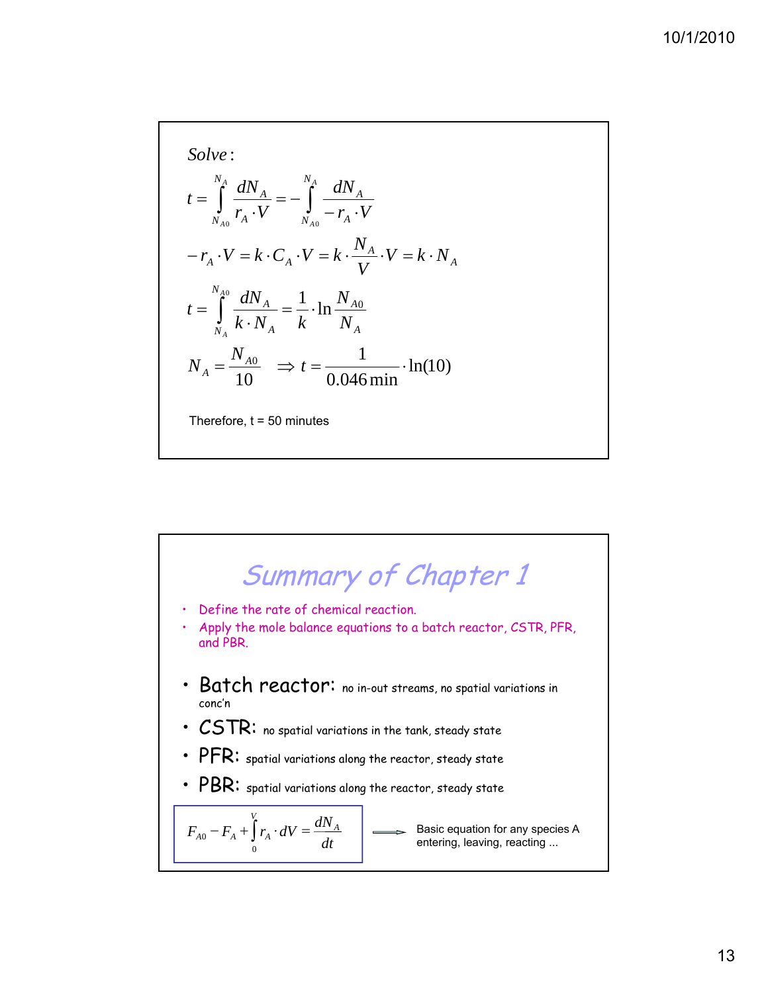: *Solve*  $=\int_{N_{A0}} \frac{u_1 v_A}{r_A \cdot V} = -\int_{N_{A0}} \frac{u_1 v_A}{-r_A \cdot V}$ *dN*  $r_A \cdot V$ *dN t N*  $N_{A0}$   $A$ *A N*  $N_{A0}$   $A$  $A = \int_0^R A$ *A A A*  $\frac{dN_A}{dt} = \frac{1}{4} \cdot \ln \frac{N_{A0}}{t}$  $=\int_{N}\frac{u_{4}v_{A}}{k\cdot N_{A}}=\frac{1}{k}\cdot \ln\frac{N_{A}}{N}$  $-r_A \cdot V = k \cdot C_A \cdot V = k \cdot \frac{N_A}{N_A} \cdot V = k \cdot N$ *N*  $k \cdot N_A$  *k dN t V N*  $r_A \cdot V = k \cdot C_A \cdot V = k \cdot \frac{N_A}{V} \cdot V = k \cdot N_A$ *A A N*  $N_A$ <sup> $\Lambda$ </sup><sup> $I$ </sup> $A$ *A A*  $A \cdot V = \Lambda \cdot C_A$ *A A*  $\frac{1}{0.046 \text{ min}} \cdot \ln(10)$ 1 10  $N_A = \frac{N_{A0}}{10}$   $\Rightarrow t = \frac{1}{0.046 \text{ min}}$ Therefore,  $t = 50$  minutes

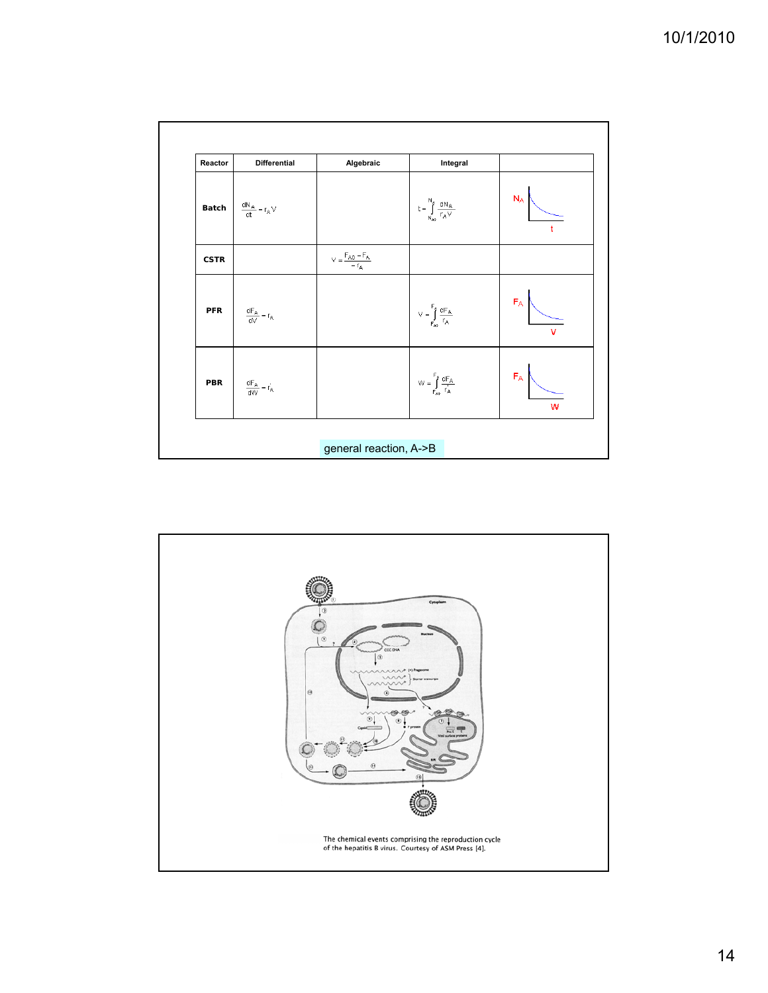| Reactor     | <b>Differential</b>          | Algebraic                                                                                     | Integral                                                                                                                                       |            |
|-------------|------------------------------|-----------------------------------------------------------------------------------------------|------------------------------------------------------------------------------------------------------------------------------------------------|------------|
| Batch       | $\frac{dN_A}{dt} = r_A \vee$ |                                                                                               | $t = \int\limits_{N_{A0}}^{N_{\tilde{A}}} \frac{dN_{A}}{r_{A}V}$                                                                               | $N_A$      |
| <b>CSTR</b> |                              | $\bigvee = \frac{\mathsf{F}_{\mathsf{A}0}-\mathsf{F}_{\mathsf{A}}}{-\mathsf{r}_{\mathsf{A}}}$ |                                                                                                                                                |            |
| <b>PFR</b>  | $\frac{dF_A}{dV} = r_A$      |                                                                                               | $\bigvee = \int\limits_{F_{AB}}^{F_{\hat A}} \frac{dF_{A}}{r_{A}}$                                                                             | $F_A$<br>v |
| PBR         | $\frac{dF_A}{dW} = r'_A$     |                                                                                               | $\mathsf{W} = \int\limits_{\mathsf{F}_{\mathsf{A}\mathsf{o}}}^{\mathsf{F}} \frac{\mathsf{d} \mathsf{F}_{\mathsf{A}}}{\mathsf{r}_{\mathsf{A}}}$ | $F_A$<br>w |

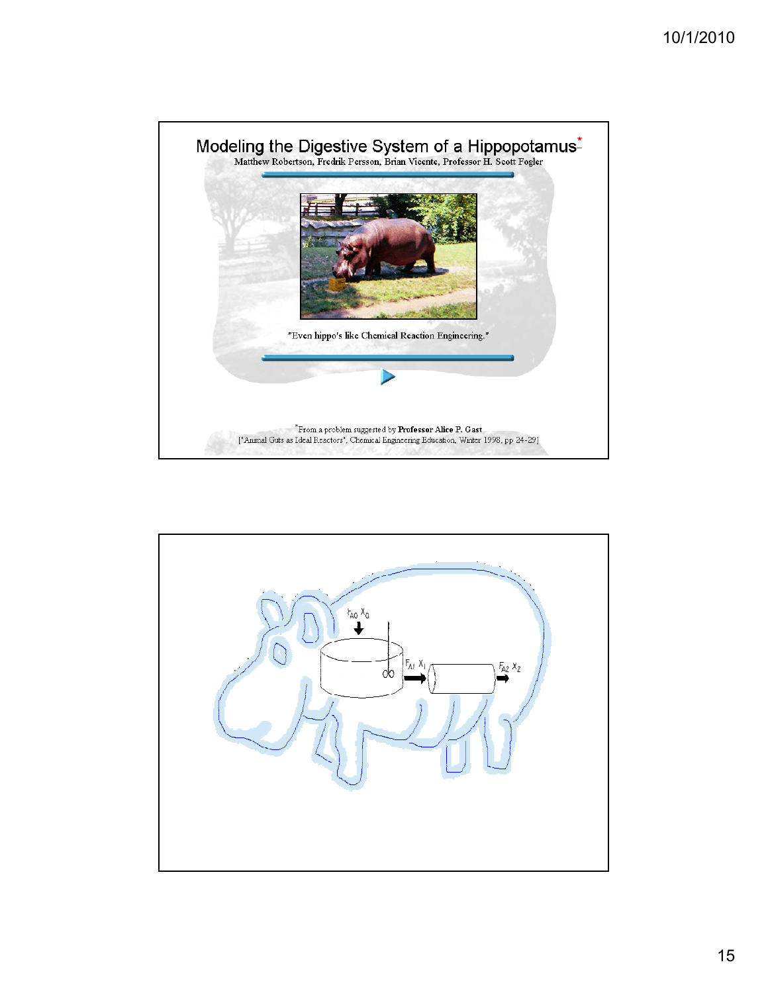

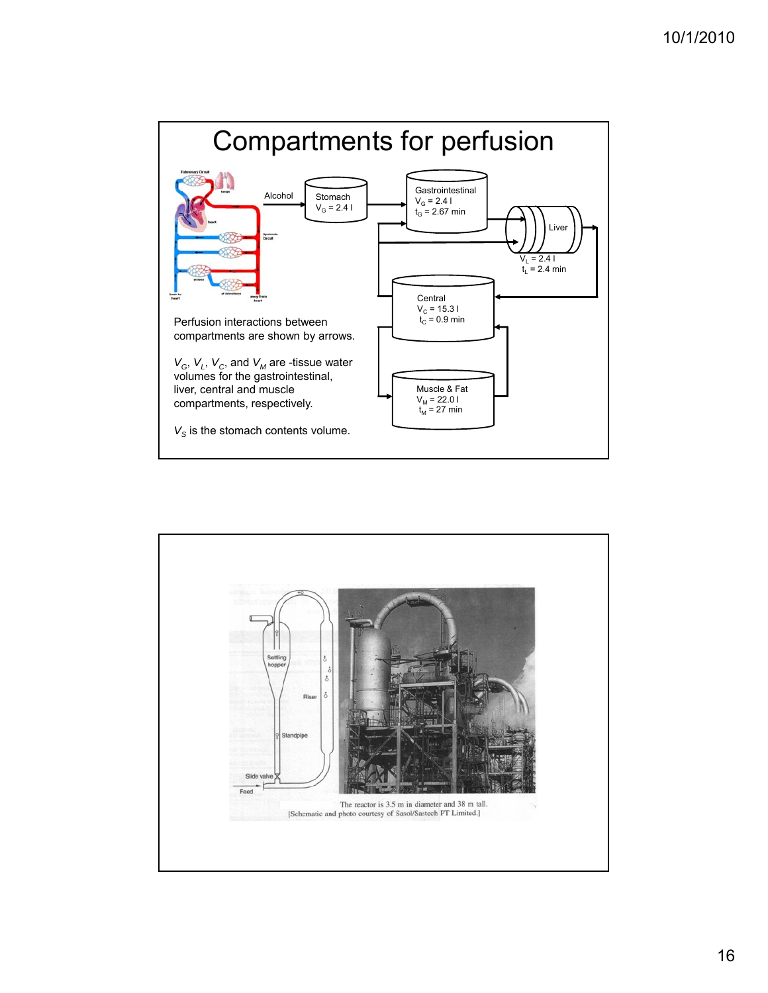